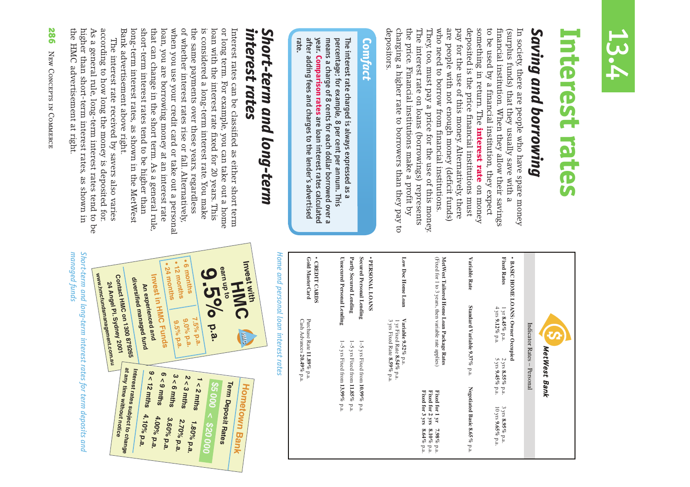

# **Interest rates** Interest rates

## *Saving and borrowing* Saving and borrowing

the price. Financial institutions make a profit by The interest rate on loans (borrowings) represents They too, must pay a price for the use of this money who need to borrow from financial institutions. are people with not enough money (deficit funds) pay for the use of this money. Alternatively, there to be used by a financial institution, they expect In society, there are people who have spare money charging a higher rate to borrowers than they pay to deposited is the price financial institutions must something in return. The interest rate on money financial institution. When they allow their savings depositors. depositors. charging a higher rate to borrowers than they pay to the price. Financial institutions make a profit by The interest rate on loans (borrowings) represents They, too, must pay a price for the use of this money. who need to borrow from financial institutions. are people with not enough money (deficit funds) pay for the use of this money. Alternatively, there deposited is the price financial institutions must something in return. The to be used by a financial institution, they expect financial institution. When they allow their savings (surplus funds) that they usually save with a (surplus funds) that they usually save with a In society, there are people who have spare money interest rate on money

#### **Com** *fact*

rate. year. Comparison rates are loan interest rates calculated after adding fees and charges to the lender's advertised after adding fees and charges to the lender's advertised means a charge of 8 cents for each dollar borrowed over a means a charge of 8 cents for each dollar borrowed over a percentage; for example, 8 per cent per annum. This percentage; for example, 8 per cent per annum. This The interest rate charged is always expressed as a The interest rate charged is always expressed as a **Comparison rates**are loan interest rates calculated

## Short-term and long-term<br>interest rates *interest rates Short-term and long-term*

**earn up to**

**9.5% p.a.**

p.a.

**Term Deposit Rates**

Bank advertisement above right. long-term interest rates, as shown in the MetWest short-term interest rates tend to be higher than that can change in the short term. As a general rule, loan, you are borrowing money at an interest rate when you use your credit card or take out a personal of whether interest rates rise or fall. Alternatively the same payments over these years, regardless is considered a long-term interest rate. You make loan with the interest rate fixed for 20 years. This or long term. For example, you can take out a home Interest rates can be classified as either short term Bank advertisement above right. long-term interest rates, as shown in the MetWest short-term interest rates tend to be higher than that can change in the short term. As a general rule, loan, you are borrowing money at an interest rate when you use your credit card or take out a personal of whether interest rates rise or fall. Alternatively, the same payments over these years, regardless is considered a long-term interest rate. You make loan with the interest rate fixed for 20 years. This or long term. For example, you can take out a home Interest rates can be classified as either short term

**sææMONTHSæ**

e 12 months

**samonths** 

**An experienced andInvest in HMC Funds**

**diversified managed fund Contact HMC on 1300 879265**<br>Contact HMC on 1300 879265 **24 Angel Pl. Sydney 2001www.hmcfundsmanagement.com.au**www.hmcfundsmanagement.com.au

> **at any time without notice Interest rates subject to change**

at any time without notice<br>at any time without notice

**9 < 12 mths 4.10% p.a.**

4.10% p.a.

**7.5% p.a.** 

**9.0%** p.a.

 $2 < 3$  mths

**6 < 9 mths 4.00% p.a.**

 $3 < 6$  mths

4.00% p.a.

3.60% p.a.

 $1 < 2$  mths

2.70% p.a.

1.80% p.a.

**\$5 000 < \$20 000**

9.5% p.a.

the HMC advertisement at right. according to how long the money is deposited for. higher than short-term interest rates, as shown in the HMC advertisement at right. higher than short-term interest rates, as shown in As a general rule, long-term interest rates tend to be As a general rule, long-term interest rates tend to be according to how long the money is deposited for. The interest rate received by savers also varies The interest rate received by savers also varies

| Invest with<br>HMC<br><b>HING</b><br>Hometown<br><b>Bank</b> | Home and personal loan interest rates | Gold MasterCard<br>· CREDIT CARDS<br>Purchase Rate 11.89% p.a.<br>Cash Advances 20.49% p.a. | <b>Secured Personal Lending</b><br>Partly Secured Lending<br><b>Unsecured Personal Lending</b><br>J-J<br>$1-5$ yrs Fixed from 11.85% p.a.<br>$\overline{S}$<br>yrs Fixed from 13.99% p.a.<br>yrs Fixed from 10.99% p.a. | · PERSONAL LOANS<br>Low Doc Home Loan<br>Variable 9.52% p.a.<br>ω<br>1 yr Fixed Rate 8.54% p.a.<br>yrs Fixed Rate 8.59% p.a. | (Fixed for 1 to 3 years, then variable rate applies)<br>MetWest Tailored Home Loan Package Rates<br>Fixed for 3 yrs<br>Fixed for 2 yrs<br>Fixed for 1 yr<br>$8.64\,\%$ p.a.<br>$8.10\,\%$<br>$7.98\%$<br>p.a.<br>$\mathbf{p}.\mathbf{a}.$ | Variable Rate<br>Standard Variable 9.37% p.a.<br>Negotiated Basic 8.65% p.a. | <b>Fixed Rates</b><br><b>BASIC HOME LOANS: Owner Occupied</b><br>4 yrs 9.12% p.a.<br>1 yr 8.45% p.a.<br>$2 \gamma$ rs 8.55% p.a.<br>5 yrs 9.45% p.a.<br>3 yrs 8.95% p.a.<br>10 yrs 9.65% p.a. | Indicator Rates -<br>Personal | MetWest<br>Bank |  |
|--------------------------------------------------------------|---------------------------------------|---------------------------------------------------------------------------------------------|-------------------------------------------------------------------------------------------------------------------------------------------------------------------------------------------------------------------------|------------------------------------------------------------------------------------------------------------------------------|-------------------------------------------------------------------------------------------------------------------------------------------------------------------------------------------------------------------------------------------|------------------------------------------------------------------------------|-----------------------------------------------------------------------------------------------------------------------------------------------------------------------------------------------|-------------------------------|-----------------|--|
|--------------------------------------------------------------|---------------------------------------|---------------------------------------------------------------------------------------------|-------------------------------------------------------------------------------------------------------------------------------------------------------------------------------------------------------------------------|------------------------------------------------------------------------------------------------------------------------------|-------------------------------------------------------------------------------------------------------------------------------------------------------------------------------------------------------------------------------------------|------------------------------------------------------------------------------|-----------------------------------------------------------------------------------------------------------------------------------------------------------------------------------------------|-------------------------------|-----------------|--|

Short-term and long-term interest rates for term deposits and managed funds *managed fundsShort-term and long-term interest rates for term deposits and*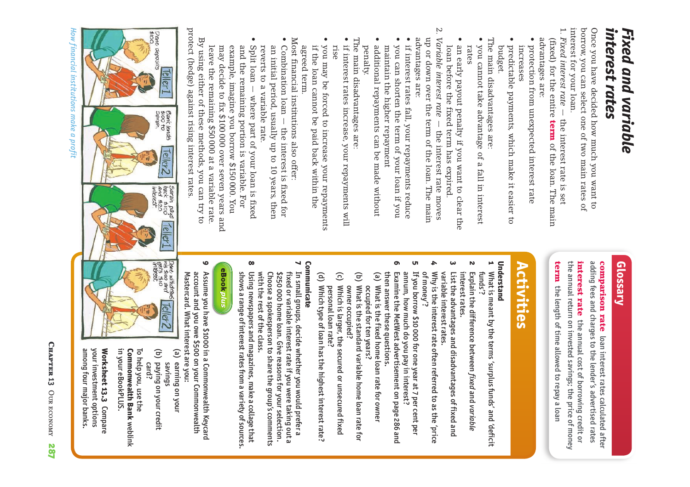#### interest rates *interest rates Fixed and variable* Fixed and variable

interest tor your loan. Once you have decided how much you want to<br>borrow, you can select one of two main rates of interest for your loan. borrow, you can select one of two main rates of Once you have decided how much you want to

- 1. Fixed interest rate -1. *Fixed interest rate* – the interest rate is set advantages are: advantages are: (fixed) for the entire term of the loan. The main (fixed) for the entire the interest rate is set of the loan. The main
- $\bullet$ protection from unexpected interest rate sõ protection from unexpected interest rate increases
- $\bullet$ budget. predictable payments, which make it easier to predictable payments, which make it easier to
- The main disadvantages are: The main disadvantages are:
- you cannot take advantage of a fall in interest sõ rates you cannot take advantage of a fall in interest
- $\bullet$ loan before the fixed term has expired. an early payout penalty if you want to clear the loan before the fixed term has expired. an early payout penalty if you want to clear the
- $\ddot{\Sigma}$ 2. Variable interest rate  $-$  the interest rate moves Variable interest rate  $-$  the interest rate moves advantages are: up or down over the term of the loan. The main advantages are: up or down over the term of the loan. The main
- you can shorten the term of your loan if you sõ  $\bullet$  if interest rates fall, your repayments reduce you can shorten the term of your loan if you if interest rates fall, your repayments reduce
- $\bullet$ penalty. maintain the higher repayment additional repayments can be made without maintain the higher repayment
- The main disadvantages are: The main disadvantages are:
- $\bullet$  $\bullet$  if interest rates increase, your repayments will rise if interest rates increase, your repayments will
- $\bullet$ agreed term. if the loan cannot be paid back within the you may be forced to increase your repayments agreed term. if the loan cannot be paid back within the you may be forced to increase your repayments

Most financial institutions also offer: Most financial institutions also offer:

- $\bullet$  $\bullet$  Combination loan  $-$  the interest is fixed for reverts to a variable rate. an initial period, usually up to 10 years, then Combination loan - the interest is fixed for reverts to a variable rate. an initial period, usually up to 10 years, then
- $\bullet$ leave the remaining \$50 000 at a variable rate. Split loan - where part of your loan is fixed leave the remaining \$50 000 at a variable rate. may decide to fix \$100 000 over seven years and may decide to fix \$100 000 over seven years and example, imagine you borrow \$150 000. You example, imagine you borrow \$150 000. You and the remaining portion is variable. For and the remaining portion is variable. For Split loan — where part of your loan is fixed

protect (hedge) against rising interest rates protect (hedge) against rising interest rates. By using either of these methods, you can try to By using either of these methods, you can try to

Dane<br>\$100.

deposits

**Teller1** 

Bank lends<br>\$100 to<br>Sarah.

Teller2

Sarah pays<br>back \$100<br>and \$20<br>interest

Teller1

Dane withdraws<br>Inis shoo and<br>Rets Sio<br>Interest:

Teller2

#### **Glossary**

adding fees and charges to the lender's advertised rates adding fees and charges to the lender's advertised rates comparison rate loan interest rates calculated after comparison rate loan interest rates calculated after

term the length of time allowed to repay a loan the annual return on invested savings; the price of money the annual return on invested savings; the price of money interest rate the annual cost of borrowing credit or interest rate the length of time allowed to repay a loan the annual cost of borrowing credit or

## **Activities**

#### **Understand**

- **2** What is meant by the terms 'surplus funds' and 'deficit **1**  funds'? What is meant by the terms 'surplus funds' and 'deficit
- interest rates. interest rates. **Explain the difference between fixed and variable** Explain the difference between and *variable*
- $\omega$ variable interest rates. variable interest rates. List the advantages and disadvantages of fixed and List the advantages and disadvantages of fixed and
- **4**  Why is the interest rate often referred to as the 'price of money'? Why is the interest rate often referred to as the 'price
- **5**  If you borrow \$10 000 for one year at 7 per cent per annum, how much do you pay in interest? annum, how much do you pay in interest? If you borrow \$10 000 for one year at 7 per cent per
- **6**  then answer these questions. then answer these questions. Examine the MetWest advertisement on page 286 and Examine the MetWest advertisement on page 286 and
- (a) What is the fixed home loan rate for owner What is the fixed home loan rate for owner (a) occupied for ten years? occupied for ten years?
- (b) What is the standard variable home loan rate for owner occupied? owner occupied? What is the standard variable home loan rate for
- (c) Which is larger, the secured or unsecured fixed personal loan rate? personal loan rate? Which is larger, the secured or unsecured fixed
- Which type of loan has the highest interest rate? (d) Which type of loan has the highest interest rate?

#### Communicate **Communicate**

- $\blacktriangleleft$ In small groups, decide whether you would prefer a **7**  In small groups, decide whether you would prefer a with the rest of the class. Choose a spokesperson to share the group's comments with the rest of the class. Choose a spokesperson to share the group's comments \$250 000 home loan. Give reasons for your selection. \$250 000 home loan. Give reasons for your selection. fixed or variable interest rate if you were taking out a fixed or variable interest rate if you were taking out a
- **8**  Using newspapers and magazines, make a collage that shows a range of interest rates from a variety of sources. shows a range of interest rates from a variety of sources. Using newspapers and magazines, make a collage that

### **eBookplus**

- **9**  account and you owe \$500 on your Commonwealth Assume you have \$1000 in a Commonwealth Keycard Mastercard. What interest are you: Mastercard. What interest are you: account and you owe \$500 on your Commonwealth Assume you have \$1000 in a Commonwealth Keycard
- (a) earning on your earning on your (a) savings
- paying on your credit (b) paying on your credit card?

in your eBookPLUS. in your eBookPLUS. **Commonwealth Bank weblink Commonwealth Bank** To help you, use the To help you, use the

your investment options Worksheet 13.3 Compare among four major banks among four major banks. your investment options **Worksheet 13.3**

*How financial institutions make a profit* How financial institutions make a profit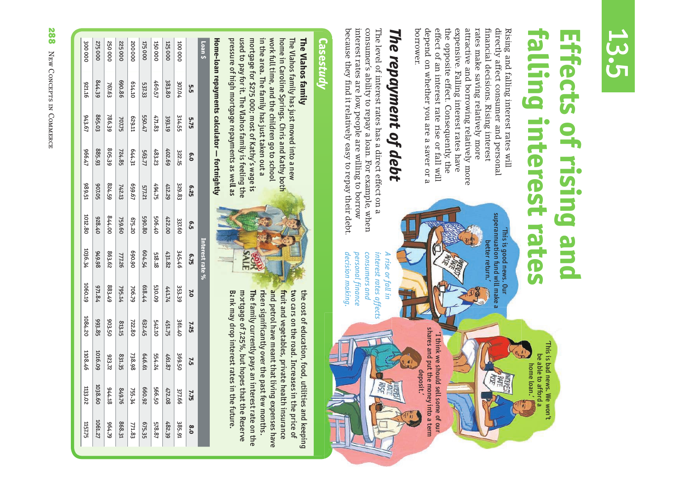## 13.5

## **falling interest rates Effects of rising and iffects of rising and** ling interest rates

'This is bad news. We won't be able to afford a home loan.'

'This is bad news. We won't<br>be able to afford a

the opposite effect. Consequently, the attractive and borrowing relatively more rates make saving relatively more borrower. depend on whether you are a saver or a effect of an interest rate rise or fall will expensive. Falling interest rates have financial decisions. Rising interest depend on whether you are a saver or a effect of an interest rate rise or fall will the opposite effect. Consequently, the expensive. Falling interest rates have attractive and borrowing relatively more rates make saving relatively more financial decisions. Rising interest directly affect consumer and personal directly affect consumer and personal Rising and falling interest rates will Rising and falling interest rates will

# The repayment of debt *The repayment of debt*

interest rates are low, people are willing to borrow consumer's ability to repay a loan. For example, when because they find it relatively easy to repay their debt. because they find it relatively easy to repay their debt. interest rates are low, people are willing to borrow consumer's ability to repay a loan. For example, when The level of interest rates has a direct effect on a The level of interest rates has a direct effect on

interest rates affects *interest rates affects* 

'This is good news. Our superannuation fund will make a better return.'

superannuation fund will make "This is good news. Our

better return.

shares and put the money into a term shares and put the money into a term 'I think we should sell some of our 'I think we should sell some of our deposit.'

decision making. *decision making.* personal finance *personal finance*  consumers and *consumers and A rise or fall in*  A rise or fall in

## **Case** *study*

#### The Vlahos family **The Vlahos family**

pressure of high mortgage repayments as well as Bank may drop interest rates in the future. used to pay for it. The Vlahos family is feeling the used to pay for it. The Vlahos family is feeling th mortgage for \$275 000; most of Kathy's wage is mortgage for \$275 000; most of Kathy's wage is in the area. The family has just taken out a in the area. The family has just taken out a work full time, and the children go to school work full time, and the children go to school home in Caroline Springs. Chris and Kathy both home in Caroline Springs. Chris and Kathy both The Vlahos family has just moved into a new The Vlahos family has just moved into a new  $\overline{\phantom{0}}$ 

**Home-loan repayments calculator — fortnightly** Home-loan repayments calculator — fortnightly

**SALE** 

risen significantly over the past few months. and petrol have meant that living expenses have fruit and vegetables, private health insurance the cost of education, food, utilities and keeping mortgage of 7.25%, but hopes that the Reserve mortgage of 7.25%, but hopes that the Reserve The family currently pays an interest rate on the The family currently pays an interest rate on the risen significantly over the past few months. and petrol have meant that living expenses have fruit and vegetables, private health insurance two cars on the road. Increases in the price of two cars on the road. Increases in the price of the cost of education, food, utilities and keeping Bank may drop interest rates in the future.

| Loan \$       |         |        |        |        |         | Interest rate $\%$ |         |         |         |          |         |
|---------------|---------|--------|--------|--------|---------|--------------------|---------|---------|---------|----------|---------|
|               | ូ<br>ហំ | 5.75   | 6.0    | 6.25   | င့်     | 6.75               | ΣΟ      | 7.25    | 75      | 7.75     | 8.0     |
| 100000        | 307.04  | 314.55 | 322.15 | 329.83 | 337.60  | 345.46             | 353.39  | 361.40  | 369.50  | 377.66   | 385.91  |
| <b>125000</b> | 383.80  | 393.19 | 402.69 | 412.29 | 422.00  | 431.82             | 441.74  | 451.75  | 461.87  | 472.08   | 482.39  |
| 150 OOC       | 460.57  | 471.83 | 483.23 | 494.75 | 506.40  | 518.18             | 530.09  | 542.10  | 554.24  | 566.50   | 578.87  |
| <b>175000</b> | 537.33  | 550.47 | 563.77 | 577.21 | 590.80  | 604.54             | 618.44  | 632.45  | 046.61  | 660.92   | 675.35  |
| 200000<br>I   | 014.10  | ET629  | 644.31 | /9699  | 675.20  | 06'069             | 706.79  | 722.80  | 738.98  | 755.34   | 771.83  |
| 225000        | 690.86  | 707.75 | 724.85 | 742.13 | 759.60  | 777.26             | 795.14  | 813.15  | 831.35  | 94.9.76  | 868.31  |
| 25000C        | 767.63  | 786.39 | 805.39 | 824.59 | 00'778  | 863.62             | 883.49  | 903.50  | 223.72  | 81.41.18 | 62**96  |
| 275 00C       | 844.39  | 865.03 | 885.93 | 907.05 | 028.40  | 86'676             | 971.84  | 993.85  | 1016.09 | 1038.60  | 1061.27 |
| 300000        | 951.16  | 943.67 | 17996  | 189.51 | 1012.80 | 1036.34            | 1060.19 | 1084.20 | 1108.46 | 1133.02  | 1157.75 |